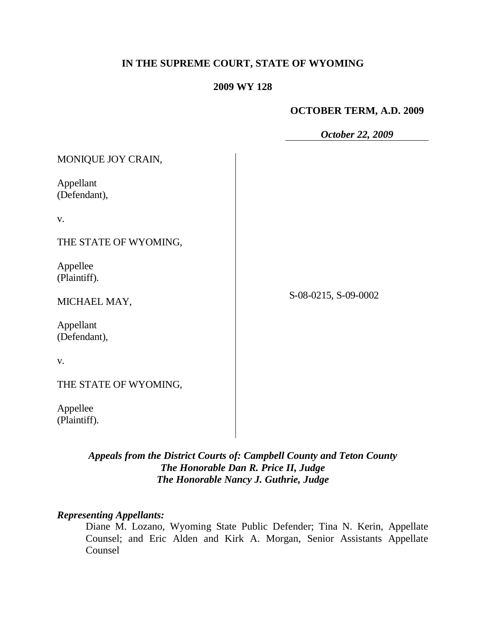# **IN THE SUPREME COURT, STATE OF WYOMING**

## **2009 WY 128**

## **OCTOBER TERM, A.D. 2009**

*October 22, 2009*

| MONIQUE JOY CRAIN,        |                      |
|---------------------------|----------------------|
| Appellant<br>(Defendant), |                      |
| V.                        |                      |
| THE STATE OF WYOMING,     |                      |
| Appellee<br>(Plaintiff).  |                      |
| MICHAEL MAY,              | S-08-0215, S-09-0002 |
| Appellant<br>(Defendant), |                      |
| V.                        |                      |
| THE STATE OF WYOMING,     |                      |
| Appellee                  |                      |

*Appeals from the District Courts of: Campbell County and Teton County The Honorable Dan R. Price II, Judge*

# *The Honorable Nancy J. Guthrie, Judge*

## *Representing Appellants:*

(Plaintiff).

Diane M. Lozano, Wyoming State Public Defender; Tina N. Kerin, Appellate Counsel; and Eric Alden and Kirk A. Morgan, Senior Assistants Appellate Counsel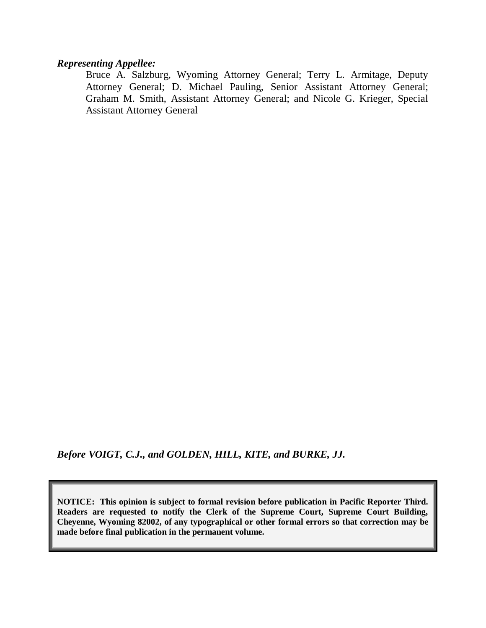#### *Representing Appellee:*

Bruce A. Salzburg, Wyoming Attorney General; Terry L. Armitage, Deputy Attorney General; D. Michael Pauling, Senior Assistant Attorney General; Graham M. Smith, Assistant Attorney General; and Nicole G. Krieger, Special Assistant Attorney General

*Before VOIGT, C.J., and GOLDEN, HILL, KITE, and BURKE, JJ.*

**NOTICE: This opinion is subject to formal revision before publication in Pacific Reporter Third. Readers are requested to notify the Clerk of the Supreme Court, Supreme Court Building, Cheyenne, Wyoming 82002, of any typographical or other formal errors so that correction may be made before final publication in the permanent volume.**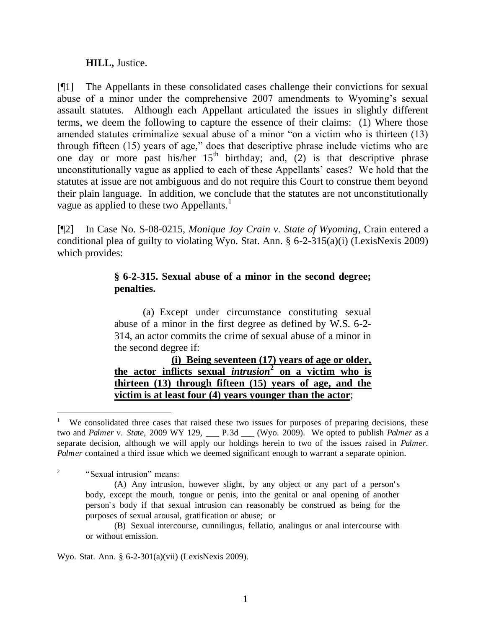## **HILL,** Justice.

[¶1] The Appellants in these consolidated cases challenge their convictions for sexual abuse of a minor under the comprehensive 2007 amendments to Wyoming's sexual assault statutes. Although each Appellant articulated the issues in slightly different terms, we deem the following to capture the essence of their claims: (1) Where those amended statutes criminalize sexual abuse of a minor "on a victim who is thirteen (13) through fifteen (15) years of age," does that descriptive phrase include victims who are one day or more past his/her  $15<sup>th</sup>$  birthday; and, (2) is that descriptive phrase unconstitutionally vague as applied to each of these Appellants" cases? We hold that the statutes at issue are not ambiguous and do not require this Court to construe them beyond their plain language. In addition, we conclude that the statutes are not unconstitutionally vague as applied to these two Appellants.<sup>1</sup>

[¶2] In Case No. S-08-0215, *Monique Joy Crain v. State of Wyoming*, Crain entered a conditional plea of guilty to violating Wyo. Stat. Ann. § 6-2-315(a)(i) (LexisNexis 2009) which provides:

# **§ 6-2-315. Sexual abuse of a minor in the second degree; penalties.**

(a) Except under circumstance constituting sexual abuse of a minor in the first degree as defined by W.S. 6-2- 314, an actor commits the crime of sexual abuse of a minor in the second degree if:

**(i) Being seventeen (17) years of age or older, the actor inflicts sexual** *intrusion* **2 on a victim who is thirteen (13) through fifteen (15) years of age, and the victim is at least four (4) years younger than the actor**;

 $\overline{a}$ 

Wyo. Stat. Ann. § 6-2-301(a)(vii) (LexisNexis 2009).

<sup>1</sup> We consolidated three cases that raised these two issues for purposes of preparing decisions, these two and *Palmer v. State,* 2009 WY 129, \_\_\_ P.3d \_\_\_ (Wyo. 2009). We opted to publish *Palmer* as a separate decision, although we will apply our holdings herein to two of the issues raised in *Palmer*. *Palmer* contained a third issue which we deemed significant enough to warrant a separate opinion.

<sup>2</sup> "Sexual intrusion" means:

<sup>(</sup>A) Any intrusion, however slight, by any object or any part of a person' s body, except the mouth, tongue or penis, into the genital or anal opening of another person' s body if that sexual intrusion can reasonably be construed as being for the purposes of sexual arousal, gratification or abuse; or

<sup>(</sup>B) Sexual intercourse, cunnilingus, fellatio, analingus or anal intercourse with or without emission.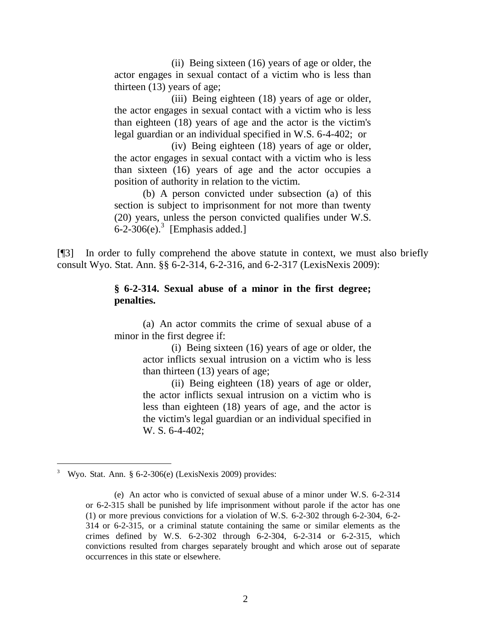(ii) Being sixteen (16) years of age or older, the actor engages in sexual contact of a victim who is less than thirteen (13) years of age;

(iii) Being eighteen (18) years of age or older, the actor engages in sexual contact with a victim who is less than eighteen (18) years of age and the actor is the victim's legal guardian or an individual specified in W.S. 6-4-402; or

(iv) Being eighteen (18) years of age or older, the actor engages in sexual contact with a victim who is less than sixteen (16) years of age and the actor occupies a position of authority in relation to the victim.

(b) A person convicted under subsection (a) of this section is subject to imprisonment for not more than twenty (20) years, unless the person convicted qualifies under W.S.  $6$ -2-306(e).<sup>3</sup> [Emphasis added.]

[¶3] In order to fully comprehend the above statute in context, we must also briefly consult Wyo. Stat. Ann. §§ 6-2-314, 6-2-316, and 6-2-317 (LexisNexis 2009):

### **§ 6-2-314. Sexual abuse of a minor in the first degree; penalties.**

(a) An actor commits the crime of sexual abuse of a minor in the first degree if:

> (i) Being sixteen (16) years of age or older, the actor inflicts sexual intrusion on a victim who is less than thirteen (13) years of age;

> (ii) Being eighteen (18) years of age or older, the actor inflicts sexual intrusion on a victim who is less than eighteen (18) years of age, and the actor is the victim's legal guardian or an individual specified in W. S. 6-4-402;

 $\overline{a}$ 

<sup>3</sup> Wyo. Stat. Ann. § 6-2-306(e) (LexisNexis 2009) provides:

<sup>(</sup>e) An actor who is convicted of sexual abuse of a minor under W.S. 6-2-314 or 6-2-315 shall be punished by life imprisonment without parole if the actor has one (1) or more previous convictions for a violation of W.S. 6-2-302 through 6-2-304, 6-2- 314 or 6-2-315, or a criminal statute containing the same or similar elements as the crimes defined by W.S. 6-2-302 through 6-2-304, 6-2-314 or 6-2-315, which convictions resulted from charges separately brought and which arose out of separate occurrences in this state or elsewhere.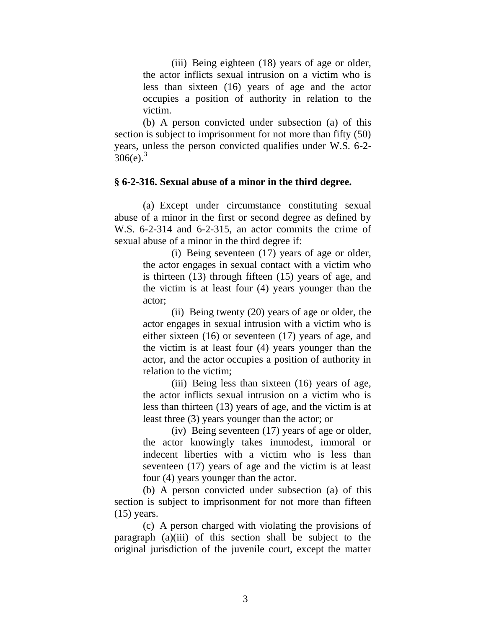(iii) Being eighteen (18) years of age or older, the actor inflicts sexual intrusion on a victim who is less than sixteen (16) years of age and the actor occupies a position of authority in relation to the victim.

(b) A person convicted under subsection (a) of this section is subject to imprisonment for not more than fifty (50) years, unless the person convicted qualifies under W.S. 6-2-  $306(e)^3$ 

#### **§ 6-2-316. Sexual abuse of a minor in the third degree.**

(a) Except under circumstance constituting sexual abuse of a minor in the first or second degree as defined by W.S. 6-2-314 and 6-2-315, an actor commits the crime of sexual abuse of a minor in the third degree if:

> (i) Being seventeen (17) years of age or older, the actor engages in sexual contact with a victim who is thirteen (13) through fifteen (15) years of age, and the victim is at least four (4) years younger than the actor;

> (ii) Being twenty (20) years of age or older, the actor engages in sexual intrusion with a victim who is either sixteen (16) or seventeen (17) years of age, and the victim is at least four (4) years younger than the actor, and the actor occupies a position of authority in relation to the victim;

> (iii) Being less than sixteen (16) years of age, the actor inflicts sexual intrusion on a victim who is less than thirteen (13) years of age, and the victim is at least three (3) years younger than the actor; or

> (iv) Being seventeen (17) years of age or older, the actor knowingly takes immodest, immoral or indecent liberties with a victim who is less than seventeen (17) years of age and the victim is at least four (4) years younger than the actor.

(b) A person convicted under subsection (a) of this section is subject to imprisonment for not more than fifteen  $(15)$  years.

(c) A person charged with violating the provisions of paragraph (a)(iii) of this section shall be subject to the original jurisdiction of the juvenile court, except the matter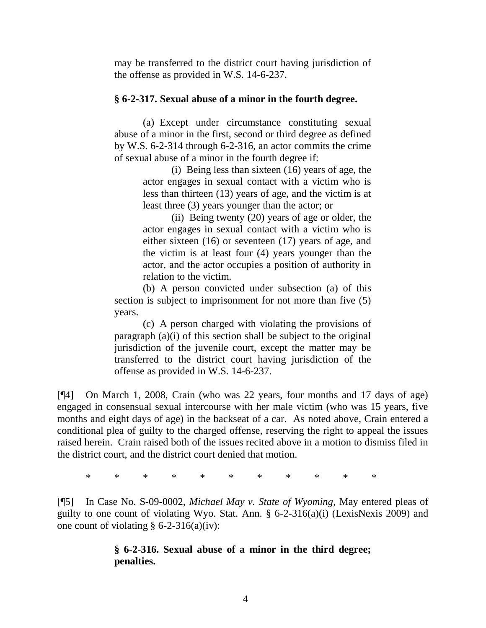may be transferred to the district court having jurisdiction of the offense as provided in W.S. 14-6-237.

### **§ 6-2-317. Sexual abuse of a minor in the fourth degree.**

(a) Except under circumstance constituting sexual abuse of a minor in the first, second or third degree as defined by W.S. 6-2-314 through 6-2-316, an actor commits the crime of sexual abuse of a minor in the fourth degree if:

> (i) Being less than sixteen (16) years of age, the actor engages in sexual contact with a victim who is less than thirteen (13) years of age, and the victim is at least three (3) years younger than the actor; or

> (ii) Being twenty (20) years of age or older, the actor engages in sexual contact with a victim who is either sixteen (16) or seventeen (17) years of age, and the victim is at least four (4) years younger than the actor, and the actor occupies a position of authority in relation to the victim.

(b) A person convicted under subsection (a) of this section is subject to imprisonment for not more than five  $(5)$ years.

(c) A person charged with violating the provisions of paragraph (a)(i) of this section shall be subject to the original jurisdiction of the juvenile court, except the matter may be transferred to the district court having jurisdiction of the offense as provided in W.S. 14-6-237.

[¶4] On March 1, 2008, Crain (who was 22 years, four months and 17 days of age) engaged in consensual sexual intercourse with her male victim (who was 15 years, five months and eight days of age) in the backseat of a car. As noted above, Crain entered a conditional plea of guilty to the charged offense, reserving the right to appeal the issues raised herein. Crain raised both of the issues recited above in a motion to dismiss filed in the district court, and the district court denied that motion.

\* \* \* \* \* \* \* \* \* \* \*

[¶5] In Case No. S-09-0002, *Michael May v. State of Wyoming*, May entered pleas of guilty to one count of violating Wyo. Stat. Ann. § 6-2-316(a)(i) (LexisNexis 2009) and one count of violating  $\S 6$ -2-316(a)(iv):

# **§ 6-2-316. Sexual abuse of a minor in the third degree; penalties.**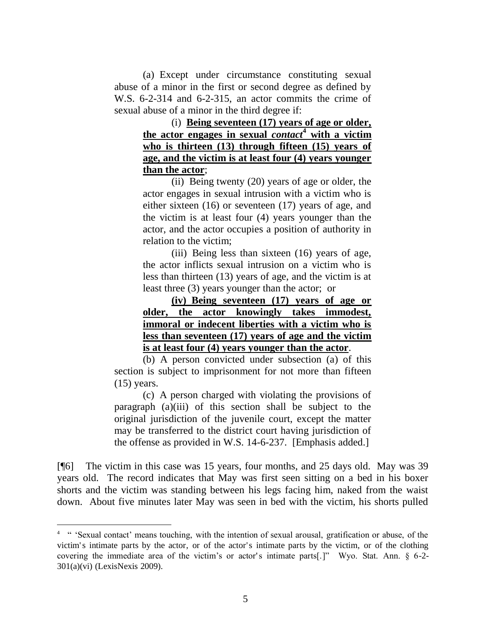(a) Except under circumstance constituting sexual abuse of a minor in the first or second degree as defined by W.S. 6-2-314 and 6-2-315, an actor commits the crime of sexual abuse of a minor in the third degree if:

> (i) **Being seventeen (17) years of age or older, the actor engages in sexual** *contact***<sup>4</sup> with a victim who is thirteen (13) through fifteen (15) years of age, and the victim is at least four (4) years younger than the actor**;

> (ii) Being twenty (20) years of age or older, the actor engages in sexual intrusion with a victim who is either sixteen (16) or seventeen (17) years of age, and the victim is at least four (4) years younger than the actor, and the actor occupies a position of authority in relation to the victim;

(iii) Being less than sixteen (16) years of age, the actor inflicts sexual intrusion on a victim who is less than thirteen (13) years of age, and the victim is at least three (3) years younger than the actor; or

**(iv) Being seventeen (17) years of age or older, the actor knowingly takes immodest, immoral or indecent liberties with a victim who is less than seventeen (17) years of age and the victim is at least four (4) years younger than the actor**.

(b) A person convicted under subsection (a) of this section is subject to imprisonment for not more than fifteen (15) years.

(c) A person charged with violating the provisions of paragraph (a)(iii) of this section shall be subject to the original jurisdiction of the juvenile court, except the matter may be transferred to the district court having jurisdiction of the offense as provided in W.S. 14-6-237. [Emphasis added.]

[¶6] The victim in this case was 15 years, four months, and 25 days old. May was 39 years old. The record indicates that May was first seen sitting on a bed in his boxer shorts and the victim was standing between his legs facing him, naked from the waist down. About five minutes later May was seen in bed with the victim, his shorts pulled

 $\overline{a}$ 

<sup>&</sup>lt;sup>4 "</sup> "Sexual contact' means touching, with the intention of sexual arousal, gratification or abuse, of the victim' s intimate parts by the actor, or of the actor's intimate parts by the victim, or of the clothing covering the immediate area of the victim's or actor's intimate parts[.]" Wyo. Stat. Ann. § 6-2-301(a)(vi) (LexisNexis 2009).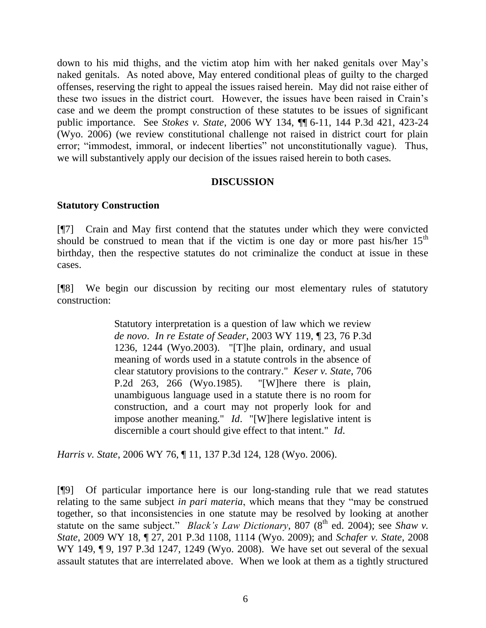down to his mid thighs, and the victim atop him with her naked genitals over May"s naked genitals. As noted above, May entered conditional pleas of guilty to the charged offenses, reserving the right to appeal the issues raised herein. May did not raise either of these two issues in the district court. However, the issues have been raised in Crain"s case and we deem the prompt construction of these statutes to be issues of significant public importance. See *Stokes v. State*, 2006 WY 134, ¶¶ 6-11, 144 P.3d 421, 423-24 (Wyo. 2006) (we review constitutional challenge not raised in district court for plain error; "immodest, immoral, or indecent liberties" not unconstitutionally vague). Thus, we will substantively apply our decision of the issues raised herein to both cases.

## **DISCUSSION**

## **Statutory Construction**

[¶7] Crain and May first contend that the statutes under which they were convicted should be construed to mean that if the victim is one day or more past his/her  $15<sup>th</sup>$ birthday, then the respective statutes do not criminalize the conduct at issue in these cases.

[¶8] We begin our discussion by reciting our most elementary rules of statutory construction:

> Statutory interpretation is a question of law which we review *de novo*. *In re Estate of Seader*, 2003 WY 119, ¶ 23, 76 P.3d 1236, 1244 (Wyo.2003). "[T]he plain, ordinary, and usual meaning of words used in a statute controls in the absence of clear statutory provisions to the contrary." *Keser v. State*, 706 P.2d 263, 266 (Wyo.1985). "[W]here there is plain, unambiguous language used in a statute there is no room for construction, and a court may not properly look for and impose another meaning." *Id*. "[W]here legislative intent is discernible a court should give effect to that intent." *Id*.

*Harris v. State*, 2006 WY 76, ¶ 11, 137 P.3d 124, 128 (Wyo. 2006).

[¶9] Of particular importance here is our long-standing rule that we read statutes relating to the same subject *in pari materia*, which means that they "may be construed together, so that inconsistencies in one statute may be resolved by looking at another statute on the same subject." *Black's Law Dictionary*, 807 (8<sup>th</sup> ed. 2004); see *Shaw v*. *State*, 2009 WY 18, ¶ 27, 201 P.3d 1108, 1114 (Wyo. 2009); and *Schafer v. State*, 2008 WY 149, ¶ 9, 197 P.3d 1247, 1249 (Wyo. 2008). We have set out several of the sexual assault statutes that are interrelated above. When we look at them as a tightly structured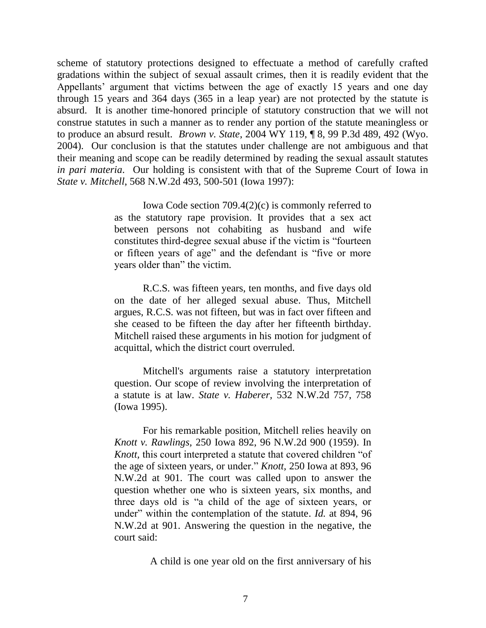scheme of statutory protections designed to effectuate a method of carefully crafted gradations within the subject of sexual assault crimes, then it is readily evident that the Appellants' argument that victims between the age of exactly 15 years and one day through 15 years and 364 days (365 in a leap year) are not protected by the statute is absurd. It is another time-honored principle of statutory construction that we will not construe statutes in such a manner as to render any portion of the statute meaningless or to produce an absurd result. *Brown v. State*, 2004 WY 119, ¶ 8, 99 P.3d 489, 492 (Wyo. 2004). Our conclusion is that the statutes under challenge are not ambiguous and that their meaning and scope can be readily determined by reading the sexual assault statutes *in pari materia*. Our holding is consistent with that of the Supreme Court of Iowa in *State v. Mitchell*, 568 N.W.2d 493, 500-501 (Iowa 1997):

> [Iowa Code section 709.4\(](http://www.westlaw.com/Find/Default.wl?rs=dfa1.0&vr=2.0&DB=1000256&DocName=IASTS709.4&FindType=L)2)(c) is commonly referred to as the statutory rape provision. It provides that a sex act between persons not cohabiting as husband and wife constitutes third-degree sexual abuse if the victim is "fourteen or fifteen years of age" and the defendant is "five or more years older than" the victim.

> R.C.S. was fifteen years, ten months, and five days old on the date of her alleged sexual abuse. Thus, Mitchell argues, R.C.S. was not fifteen, but was in fact over fifteen and she ceased to be fifteen the day after her fifteenth birthday. Mitchell raised these arguments in his motion for judgment of acquittal, which the district court overruled.

> Mitchell's arguments raise a statutory interpretation question. Our scope of review involving the interpretation of a statute is at law. *[State v. Haberer,](http://www.westlaw.com/Find/Default.wl?rs=dfa1.0&vr=2.0&DB=595&FindType=Y&ReferencePositionType=S&SerialNum=1995120416&ReferencePosition=758)* [532 N.W.2d 757, 758](http://www.westlaw.com/Find/Default.wl?rs=dfa1.0&vr=2.0&DB=595&FindType=Y&ReferencePositionType=S&SerialNum=1995120416&ReferencePosition=758)  (Iowa 1995).

> For his remarkable position, Mitchell relies heavily on *[Knott v. Rawlings,](http://www.westlaw.com/Find/Default.wl?rs=dfa1.0&vr=2.0&DB=595&FindType=Y&SerialNum=1959113622)* [250 Iowa 892, 96 N.W.2d 900 \(1959\).](http://www.westlaw.com/Find/Default.wl?rs=dfa1.0&vr=2.0&DB=595&FindType=Y&SerialNum=1959113622) In *Knott,* this court interpreted a statute that covered children "of the age of sixteen years, or under." *[Knott,](http://www.westlaw.com/Find/Default.wl?rs=dfa1.0&vr=2.0&DB=595&FindType=Y&ReferencePositionType=S&SerialNum=1959113622&ReferencePosition=901)* [250 Iowa at 893, 96](http://www.westlaw.com/Find/Default.wl?rs=dfa1.0&vr=2.0&DB=595&FindType=Y&ReferencePositionType=S&SerialNum=1959113622&ReferencePosition=901)  N.W.2d at 901. The court was called upon to answer the question whether one who is sixteen years, six months, and three days old is "a child of the age of sixteen years, or under" within the contemplation of the statute.*[Id.](http://www.westlaw.com/Find/Default.wl?rs=dfa1.0&vr=2.0&DB=595&FindType=Y&ReferencePositionType=S&SerialNum=1959113622&ReferencePosition=901)* [at 894, 96](http://www.westlaw.com/Find/Default.wl?rs=dfa1.0&vr=2.0&DB=595&FindType=Y&ReferencePositionType=S&SerialNum=1959113622&ReferencePosition=901)  N.W.2d at 901. Answering the question in the negative, the court said:

> > A child is one year old on the first anniversary of his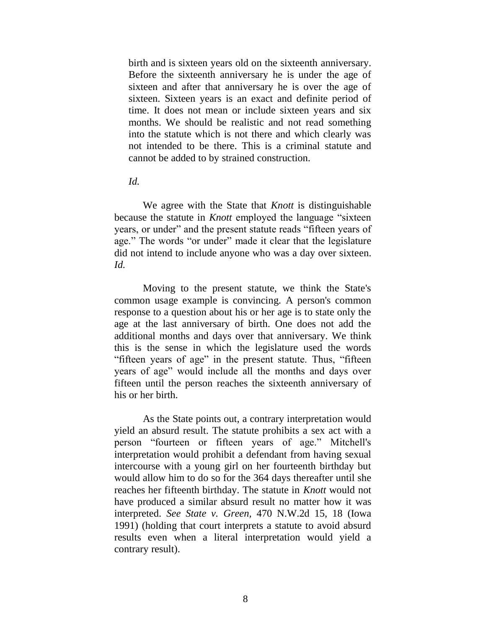birth and is sixteen years old on the sixteenth anniversary. Before the sixteenth anniversary he is under the age of sixteen and after that anniversary he is over the age of sixteen. Sixteen years is an exact and definite period of time. It does not mean or include sixteen years and six months. We should be realistic and not read something into the statute which is not there and which clearly was not intended to be there. This is a criminal statute and cannot be added to by strained construction.

#### *Id.*

We agree with the State that *Knott* is distinguishable because the statute in *Knott* employed the language "sixteen years, or under" and the present statute reads "fifteen years of age." The words "or under" made it clear that the legislature did not intend to include anyone who was a day over sixteen. *Id.*

Moving to the present statute, we think the State's common usage example is convincing. A person's common response to a question about his or her age is to state only the age at the last anniversary of birth. One does not add the additional months and days over that anniversary. We think this is the sense in which the legislature used the words "fifteen years of age" in the present statute. Thus, "fifteen years of age" would include all the months and days over fifteen until the person reaches the sixteenth anniversary of his or her birth.

As the State points out, a contrary interpretation would yield an absurd result. The statute prohibits a sex act with a person "fourteen or fifteen years of age." Mitchell's interpretation would prohibit a defendant from having sexual intercourse with a young girl on her fourteenth birthday but would allow him to do so for the 364 days thereafter until she reaches her fifteenth birthday. The statute in *Knott* would not have produced a similar absurd result no matter how it was interpreted. *See [State v. Green,](http://www.westlaw.com/Find/Default.wl?rs=dfa1.0&vr=2.0&DB=595&FindType=Y&ReferencePositionType=S&SerialNum=1991093197&ReferencePosition=18)* [470 N.W.2d 15, 18 \(Iowa](http://www.westlaw.com/Find/Default.wl?rs=dfa1.0&vr=2.0&DB=595&FindType=Y&ReferencePositionType=S&SerialNum=1991093197&ReferencePosition=18)  1991) (holding that court interprets a statute to avoid absurd results even when a literal interpretation would yield a contrary result).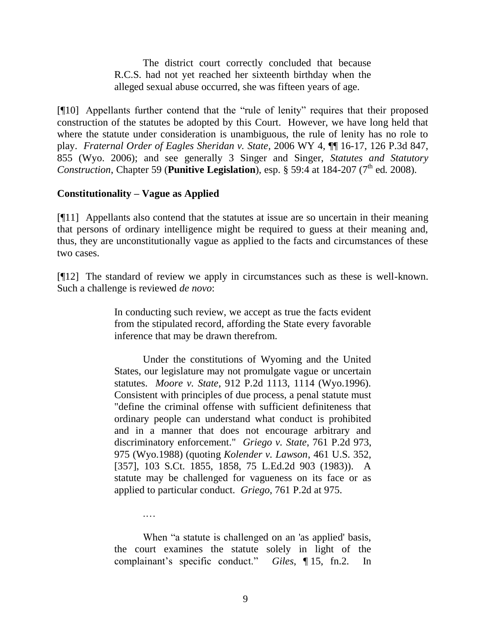The district court correctly concluded that because R.C.S. had not yet reached her sixteenth birthday when the alleged sexual abuse occurred, she was fifteen years of age.

[¶10] Appellants further contend that the "rule of lenity" requires that their proposed construction of the statutes be adopted by this Court. However, we have long held that where the statute under consideration is unambiguous, the rule of lenity has no role to play. *Fraternal Order of Eagles Sheridan v. State*, 2006 WY 4, ¶¶ 16-17, 126 P.3d 847, 855 (Wyo. 2006); and see generally 3 Singer and Singer, *Statutes and Statutory Construction*, Chapter 59 (**Punitive Legislation**), esp. § 59:4 at 184-207 ( $7^{\text{th}}$  ed. 2008).

### **Constitutionality – Vague as Applied**

.…

[¶11] Appellants also contend that the statutes at issue are so uncertain in their meaning that persons of ordinary intelligence might be required to guess at their meaning and, thus, they are unconstitutionally vague as applied to the facts and circumstances of these two cases.

[¶12] The standard of review we apply in circumstances such as these is well-known. Such a challenge is reviewed *de novo*:

> In conducting such review, we accept as true the facts evident from the stipulated record, affording the State every favorable inference that may be drawn therefrom.

> Under the constitutions of Wyoming and the United States, our legislature may not promulgate vague or uncertain statutes. *Moore v. State*, 912 P.2d 1113, 1114 (Wyo.1996). Consistent with principles of due process, a penal statute must "define the criminal offense with sufficient definiteness that ordinary people can understand what conduct is prohibited and in a manner that does not encourage arbitrary and discriminatory enforcement." *Griego v. State*, 761 P.2d 973, 975 (Wyo.1988) (quoting *Kolender v. Lawson*, 461 U.S. 352, [357], 103 S.Ct. 1855, 1858, 75 L.Ed.2d 903 (1983)). A statute may be challenged for vagueness on its face or as applied to particular conduct. *Griego*, 761 P.2d at 975.

> When "a statute is challenged on an 'as applied' basis, the court examines the statute solely in light of the complainant"s specific conduct." *Giles*, ¶ 15, fn.2. In